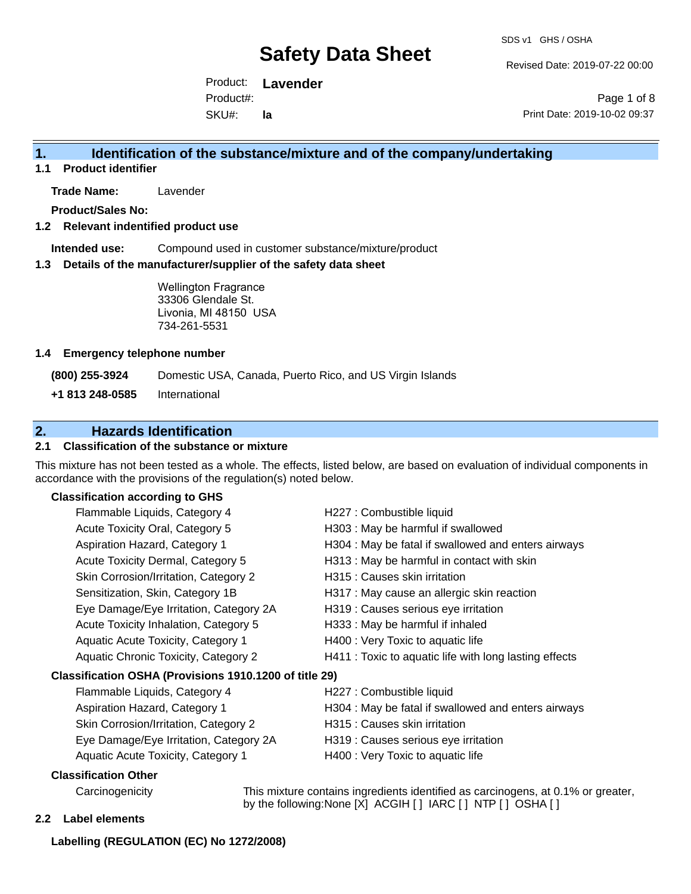Revised Date: 2019-07-22 00:00

Product: **Lavender**  SKU#: Product#: **la**

Page 1 of 8 Print Date: 2019-10-02 09:37

## **1. Identification of the substance/mixture and of the company/undertaking**

**1.1 Product identifier**

**Trade Name:** Lavender

**Product/Sales No:**

### **1.2 Relevant indentified product use**

**Intended use:** Compound used in customer substance/mixture/product

#### **1.3 Details of the manufacturer/supplier of the safety data sheet**

Wellington Fragrance 33306 Glendale St. Livonia, MI 48150 USA 734-261-5531

#### **1.4 Emergency telephone number**

**(800) 255-3924** Domestic USA, Canada, Puerto Rico, and US Virgin Islands

**+1 813 248-0585** International

## **2. Hazards Identification**

## **2.1 Classification of the substance or mixture**

This mixture has not been tested as a whole. The effects, listed below, are based on evaluation of individual components in accordance with the provisions of the regulation(s) noted below.

## **Classification according to GHS**

|                                                        | Flammable Liquids, Category 4          | H227 : Combustible liquid                              |
|--------------------------------------------------------|----------------------------------------|--------------------------------------------------------|
|                                                        | Acute Toxicity Oral, Category 5        | H303 : May be harmful if swallowed                     |
|                                                        | Aspiration Hazard, Category 1          | H304 : May be fatal if swallowed and enters airways    |
|                                                        | Acute Toxicity Dermal, Category 5      | H313 : May be harmful in contact with skin             |
|                                                        | Skin Corrosion/Irritation, Category 2  | H315 : Causes skin irritation                          |
|                                                        | Sensitization, Skin, Category 1B       | H317 : May cause an allergic skin reaction             |
|                                                        | Eye Damage/Eye Irritation, Category 2A | H319 : Causes serious eye irritation                   |
|                                                        | Acute Toxicity Inhalation, Category 5  | H333: May be harmful if inhaled                        |
|                                                        | Aquatic Acute Toxicity, Category 1     | H400 : Very Toxic to aquatic life                      |
|                                                        | Aquatic Chronic Toxicity, Category 2   | H411 : Toxic to aquatic life with long lasting effects |
| Classification OSHA (Provisions 1910.1200 of title 29) |                                        |                                                        |
|                                                        | Flammable Liquids, Category 4          | H227 : Combustible liquid                              |
|                                                        | Aspiration Hazard, Category 1          | H304 : May be fatal if swallowed and enters airways    |
|                                                        | Skin Corrosion/Irritation, Category 2  | H315 : Causes skin irritation                          |
|                                                        | Eye Damage/Eye Irritation, Category 2A | H319 : Causes serious eye irritation                   |
|                                                        | Aquatic Acute Toxicity, Category 1     | H400 : Very Toxic to aquatic life                      |
|                                                        | Classification Other                   |                                                        |

Carcinogenicity This mixture contains ingredients identified as carcinogens, at 0.1% or greater, by the following:None [X] ACGIH [ ] IARC [ ] NTP [ ] OSHA [ ]

#### **2.2 Label elements**

#### **Labelling (REGULATION (EC) No 1272/2008)**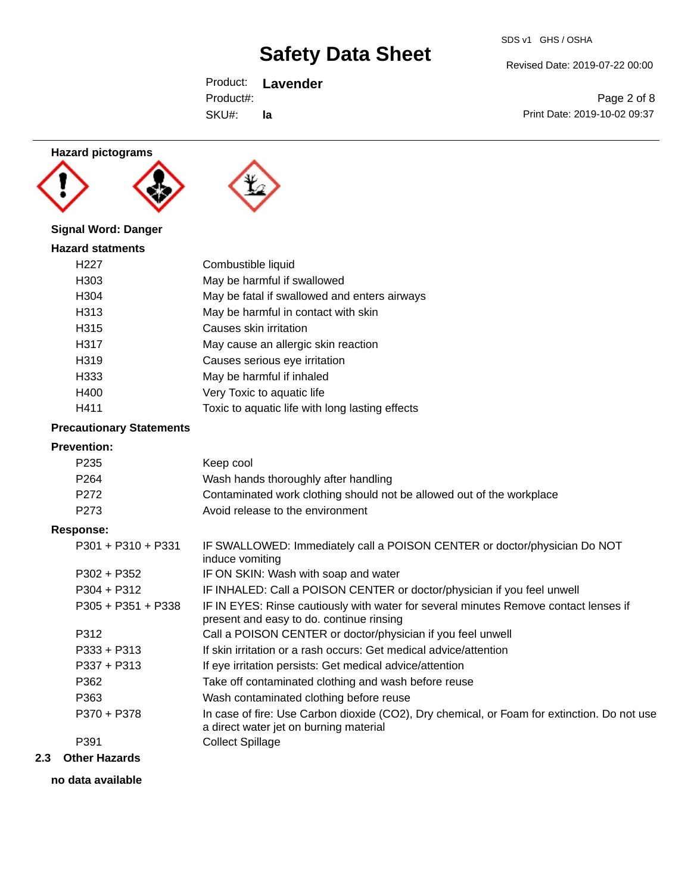Revised Date: 2019-07-22 00:00

Product: **Lavender**  SKU#: Product#: **la**

Page 2 of 8 Print Date: 2019-10-02 09:37

## **Hazard pictograms**





## **Signal Word: Danger**

| <b>Hazard statments</b> |                                                 |  |  |
|-------------------------|-------------------------------------------------|--|--|
| H <sub>22</sub> 7       | Combustible liquid                              |  |  |
| H303                    | May be harmful if swallowed                     |  |  |
| H304                    | May be fatal if swallowed and enters airways    |  |  |
| H313                    | May be harmful in contact with skin             |  |  |
| H315                    | Causes skin irritation                          |  |  |
| H317                    | May cause an allergic skin reaction             |  |  |
| H319                    | Causes serious eye irritation                   |  |  |
| H333                    | May be harmful if inhaled                       |  |  |
| H400                    | Very Toxic to aquatic life                      |  |  |
| H411                    | Toxic to aquatic life with long lasting effects |  |  |

## **Precautionary Statements**

#### **Prevention:**

| P <sub>235</sub>     | Keep cool                                                                                                                             |
|----------------------|---------------------------------------------------------------------------------------------------------------------------------------|
| P <sub>264</sub>     | Wash hands thoroughly after handling                                                                                                  |
| P272                 | Contaminated work clothing should not be allowed out of the workplace                                                                 |
| P <sub>273</sub>     | Avoid release to the environment                                                                                                      |
| Response:            |                                                                                                                                       |
| $P301 + P310 + P331$ | IF SWALLOWED: Immediately call a POISON CENTER or doctor/physician Do NOT<br>induce vomiting                                          |
| $P302 + P352$        | IF ON SKIN: Wash with soap and water                                                                                                  |
| $P304 + P312$        | IF INHALED: Call a POISON CENTER or doctor/physician if you feel unwell                                                               |
| $P305 + P351 + P338$ | IF IN EYES: Rinse cautiously with water for several minutes Remove contact lenses if<br>present and easy to do. continue rinsing      |
| P312                 | Call a POISON CENTER or doctor/physician if you feel unwell                                                                           |
| $P333 + P313$        | If skin irritation or a rash occurs: Get medical advice/attention                                                                     |
| $P337 + P313$        | If eye irritation persists: Get medical advice/attention                                                                              |
| P362                 | Take off contaminated clothing and wash before reuse                                                                                  |
| P363                 | Wash contaminated clothing before reuse                                                                                               |
| P370 + P378          | In case of fire: Use Carbon dioxide (CO2), Dry chemical, or Foam for extinction. Do not use<br>a direct water jet on burning material |
| P391                 | <b>Collect Spillage</b>                                                                                                               |
|                      |                                                                                                                                       |

## **2.3 Other Hazards**

**no data available**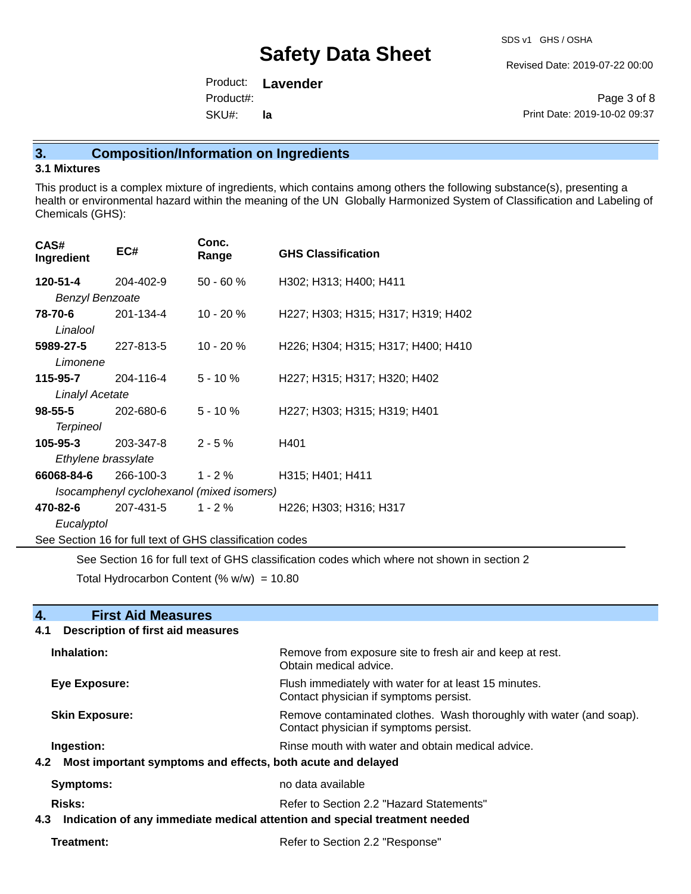Revised Date: 2019-07-22 00:00

Product: **Lavender**  SKU#: Product#: **la**

Page 3 of 8 Print Date: 2019-10-02 09:37

## **3. Composition/Information on Ingredients**

### **3.1 Mixtures**

This product is a complex mixture of ingredients, which contains among others the following substance(s), presenting a health or environmental hazard within the meaning of the UN Globally Harmonized System of Classification and Labeling of Chemicals (GHS):

| CAS#<br>Ingredient                                       | EC#       | Conc.<br>Range | <b>GHS Classification</b>                                                 |
|----------------------------------------------------------|-----------|----------------|---------------------------------------------------------------------------|
| 120-51-4                                                 | 204-402-9 | $50 - 60 %$    | H302; H313; H400; H411                                                    |
| <b>Benzyl Benzoate</b>                                   |           |                |                                                                           |
| 78-70-6<br>Linalool                                      | 201-134-4 | $10 - 20%$     | H227; H303; H315; H317; H319; H402                                        |
| 5989-27-5<br>Limonene                                    | 227-813-5 | $10 - 20%$     | H226; H304; H315; H317; H400; H410                                        |
| 115-95-7                                                 | 204-116-4 | $5 - 10 \%$    | H227; H315; H317; H320; H402                                              |
| <b>Linalyl Acetate</b>                                   |           |                |                                                                           |
| 98-55-5                                                  | 202-680-6 | 5 - 10 %       | H227; H303; H315; H319; H401                                              |
| <b>Terpineol</b>                                         |           |                |                                                                           |
| 105-95-3                                                 | 203-347-8 | $2 - 5%$       | H401                                                                      |
| Ethylene brassylate                                      |           |                |                                                                           |
| 66068-84-6                                               | 266-100-3 | 1 - 2 %        | H315; H401; H411                                                          |
| Isocamphenyl cyclohexanol (mixed isomers)                |           |                |                                                                           |
| 470-82-6                                                 | 207-431-5 | $1 - 2 \%$     | H <sub>226</sub> ; H <sub>303</sub> ; H <sub>316</sub> ; H <sub>317</sub> |
| Eucalyptol                                               |           |                |                                                                           |
| See Section 16 for full text of GHS classification codes |           |                |                                                                           |

See Section 16 for full text of GHS classification codes which where not shown in section 2

Total Hydrocarbon Content (%  $w/w$ ) = 10.80

| 4.<br><b>First Aid Measures</b><br><b>Description of first aid measures</b><br>4.1 |                                                                                                               |  |
|------------------------------------------------------------------------------------|---------------------------------------------------------------------------------------------------------------|--|
| Inhalation:                                                                        | Remove from exposure site to fresh air and keep at rest.<br>Obtain medical advice.                            |  |
| Eye Exposure:                                                                      | Flush immediately with water for at least 15 minutes.<br>Contact physician if symptoms persist.               |  |
| <b>Skin Exposure:</b>                                                              | Remove contaminated clothes. Wash thoroughly with water (and soap).<br>Contact physician if symptoms persist. |  |
| Ingestion:                                                                         | Rinse mouth with water and obtain medical advice.                                                             |  |
| Most important symptoms and effects, both acute and delayed<br>4.2 <sub>1</sub>    |                                                                                                               |  |
| <b>Symptoms:</b>                                                                   | no data available                                                                                             |  |
| <b>Risks:</b>                                                                      | Refer to Section 2.2 "Hazard Statements"                                                                      |  |
| Indication of any immediate medical attention and special treatment needed<br>4.3  |                                                                                                               |  |
| Treatment:                                                                         | Refer to Section 2.2 "Response"                                                                               |  |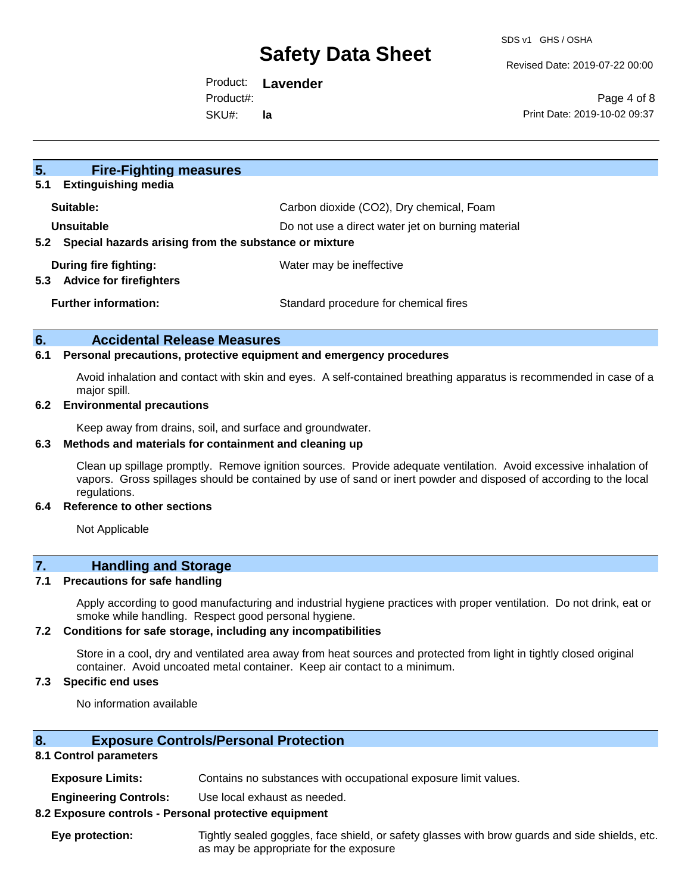Revised Date: 2019-07-22 00:00

Product: **Lavender**  Product#:

SKU#: **la**

Page 4 of 8 Print Date: 2019-10-02 09:37

| 5 <sub>1</sub><br><b>Fire-Fighting measures</b>              |                                                   |  |
|--------------------------------------------------------------|---------------------------------------------------|--|
| <b>Extinguishing media</b><br>5.1                            |                                                   |  |
| Suitable:                                                    | Carbon dioxide (CO2), Dry chemical, Foam          |  |
| Unsuitable                                                   | Do not use a direct water jet on burning material |  |
| Special hazards arising from the substance or mixture<br>5.2 |                                                   |  |
| During fire fighting:                                        | Water may be ineffective                          |  |
| <b>Advice for firefighters</b><br>5.3                        |                                                   |  |
| <b>Further information:</b>                                  | Standard procedure for chemical fires             |  |
|                                                              |                                                   |  |

### **6. Accidental Release Measures**

#### **6.1 Personal precautions, protective equipment and emergency procedures**

Avoid inhalation and contact with skin and eyes. A self-contained breathing apparatus is recommended in case of a major spill.

#### **6.2 Environmental precautions**

Keep away from drains, soil, and surface and groundwater.

### **6.3 Methods and materials for containment and cleaning up**

Clean up spillage promptly. Remove ignition sources. Provide adequate ventilation. Avoid excessive inhalation of vapors. Gross spillages should be contained by use of sand or inert powder and disposed of according to the local regulations.

#### **6.4 Reference to other sections**

Not Applicable

## **7. Handling and Storage**

#### **7.1 Precautions for safe handling**

Apply according to good manufacturing and industrial hygiene practices with proper ventilation. Do not drink, eat or smoke while handling. Respect good personal hygiene.

#### **7.2 Conditions for safe storage, including any incompatibilities**

Store in a cool, dry and ventilated area away from heat sources and protected from light in tightly closed original container. Avoid uncoated metal container. Keep air contact to a minimum.

#### **7.3 Specific end uses**

No information available

### **8. Exposure Controls/Personal Protection**

### **8.1 Control parameters**

**Exposure Limits:** Contains no substances with occupational exposure limit values.

**Engineering Controls:** Use local exhaust as needed.

#### **8.2 Exposure controls - Personal protective equipment**

**Eye protection:** Tightly sealed goggles, face shield, or safety glasses with brow guards and side shields, etc. as may be appropriate for the exposure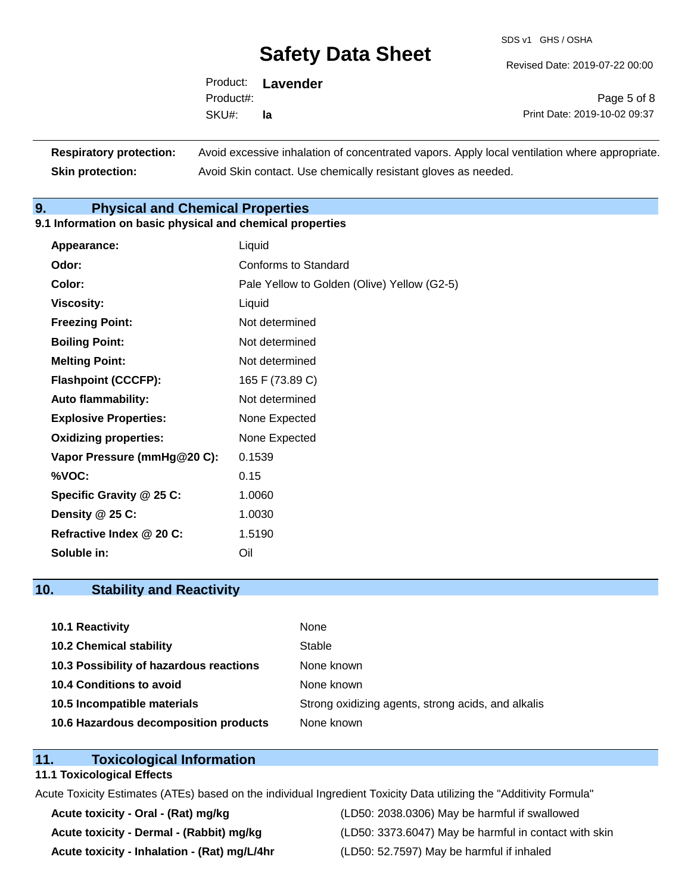SDS v1 GHS / OSHA

Revised Date: 2019-07-22 00:00

| Product:  | <b>Lavender</b> |
|-----------|-----------------|
| Product#: |                 |
| SKU#:     | la              |

Page 5 of 8 Print Date: 2019-10-02 09:37

| <b>Respiratory protection:</b> | Avoid excessive inhalation of concentrated vapors. Apply local ventilation where appropriate. |
|--------------------------------|-----------------------------------------------------------------------------------------------|
| <b>Skin protection:</b>        | Avoid Skin contact. Use chemically resistant gloves as needed.                                |

## **9. Physical and Chemical Properties**

## **9.1 Information on basic physical and chemical properties**

| Appearance:                  | Liquid                                      |
|------------------------------|---------------------------------------------|
| Odor:                        | Conforms to Standard                        |
| Color:                       | Pale Yellow to Golden (Olive) Yellow (G2-5) |
| <b>Viscosity:</b>            | Liquid                                      |
| <b>Freezing Point:</b>       | Not determined                              |
| <b>Boiling Point:</b>        | Not determined                              |
| <b>Melting Point:</b>        | Not determined                              |
| <b>Flashpoint (CCCFP):</b>   | 165 F (73.89 C)                             |
| <b>Auto flammability:</b>    | Not determined                              |
| <b>Explosive Properties:</b> | None Expected                               |
| <b>Oxidizing properties:</b> | None Expected                               |
| Vapor Pressure (mmHg@20 C):  | 0.1539                                      |
| %VOC:                        | 0.15                                        |
| Specific Gravity @ 25 C:     | 1.0060                                      |
| Density @ 25 C:              | 1.0030                                      |
| Refractive Index @ 20 C:     | 1.5190                                      |
| Soluble in:                  | Oil                                         |

## **10. Stability and Reactivity**

| 10.1 Reactivity                         | None                                               |
|-----------------------------------------|----------------------------------------------------|
| <b>10.2 Chemical stability</b>          | Stable                                             |
| 10.3 Possibility of hazardous reactions | None known                                         |
| 10.4 Conditions to avoid                | None known                                         |
| 10.5 Incompatible materials             | Strong oxidizing agents, strong acids, and alkalis |
| 10.6 Hazardous decomposition products   | None known                                         |

## **11. Toxicological Information**

#### **11.1 Toxicological Effects**

Acute Toxicity Estimates (ATEs) based on the individual Ingredient Toxicity Data utilizing the "Additivity Formula"

**Acute toxicity - Inhalation - (Rat) mg/L/4hr** (LD50: 52.7597) May be harmful if inhaled

**Acute toxicity - Oral - (Rat) mg/kg** (LD50: 2038.0306) May be harmful if swallowed Acute toxicity - Dermal - (Rabbit) mg/kg<br>
(LD50: 3373.6047) May be harmful in contact with skin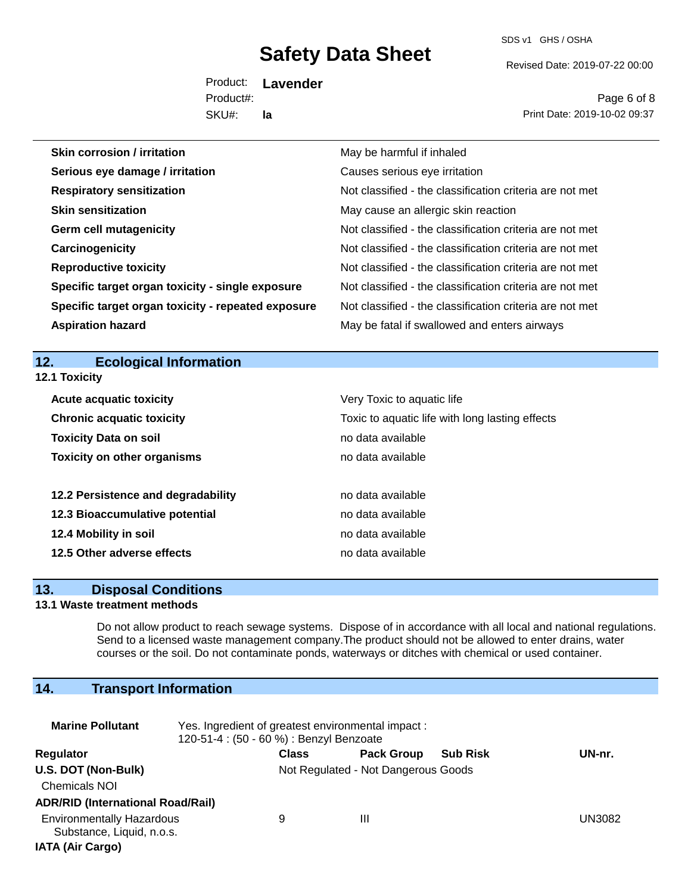SDS v1 GHS / OSHA

Revised Date: 2019-07-22 00:00

Product: **Lavender**  SKU#: Product#: **la**

Page 6 of 8 Print Date: 2019-10-02 09:37

| Skin corrosion / irritation                        | May be harmful if inhaled                                |
|----------------------------------------------------|----------------------------------------------------------|
| Serious eye damage / irritation                    | Causes serious eye irritation                            |
| <b>Respiratory sensitization</b>                   | Not classified - the classification criteria are not met |
| <b>Skin sensitization</b>                          | May cause an allergic skin reaction                      |
| <b>Germ cell mutagenicity</b>                      | Not classified - the classification criteria are not met |
| Carcinogenicity                                    | Not classified - the classification criteria are not met |
| <b>Reproductive toxicity</b>                       | Not classified - the classification criteria are not met |
| Specific target organ toxicity - single exposure   | Not classified - the classification criteria are not met |
| Specific target organ toxicity - repeated exposure | Not classified - the classification criteria are not met |
| <b>Aspiration hazard</b>                           | May be fatal if swallowed and enters airways             |
|                                                    |                                                          |
| 12.<br><b>Ecological Information</b>               |                                                          |

| 12.1 Toxicity                      |                                                 |  |  |
|------------------------------------|-------------------------------------------------|--|--|
| <b>Acute acquatic toxicity</b>     | Very Toxic to aquatic life                      |  |  |
| <b>Chronic acquatic toxicity</b>   | Toxic to aquatic life with long lasting effects |  |  |
| <b>Toxicity Data on soil</b>       | no data available                               |  |  |
| <b>Toxicity on other organisms</b> | no data available                               |  |  |
| 12.2 Persistence and degradability | no data available                               |  |  |
| 12.3 Bioaccumulative potential     | no data available                               |  |  |
| 12.4 Mobility in soil              | no data available                               |  |  |
| 12.5 Other adverse effects         | no data available                               |  |  |

## **13. Disposal Conditions**

## **13.1 Waste treatment methods**

Do not allow product to reach sewage systems. Dispose of in accordance with all local and national regulations. Send to a licensed waste management company.The product should not be allowed to enter drains, water courses or the soil. Do not contaminate ponds, waterways or ditches with chemical or used container.

## **14. Transport Information**

| <b>Marine Pollutant</b>                                       | Yes. Ingredient of greatest environmental impact:<br>120-51-4 : (50 - 60 %) : Benzyl Benzoate |                                     |                   |                 |        |
|---------------------------------------------------------------|-----------------------------------------------------------------------------------------------|-------------------------------------|-------------------|-----------------|--------|
| Regulator                                                     |                                                                                               | <b>Class</b>                        | <b>Pack Group</b> | <b>Sub Risk</b> | UN-nr. |
| U.S. DOT (Non-Bulk)                                           |                                                                                               | Not Regulated - Not Dangerous Goods |                   |                 |        |
| <b>Chemicals NOI</b>                                          |                                                                                               |                                     |                   |                 |        |
| <b>ADR/RID (International Road/Rail)</b>                      |                                                                                               |                                     |                   |                 |        |
| <b>Environmentally Hazardous</b><br>Substance, Liquid, n.o.s. |                                                                                               | 9                                   | Ш                 |                 | UN3082 |
| <b>IATA (Air Cargo)</b>                                       |                                                                                               |                                     |                   |                 |        |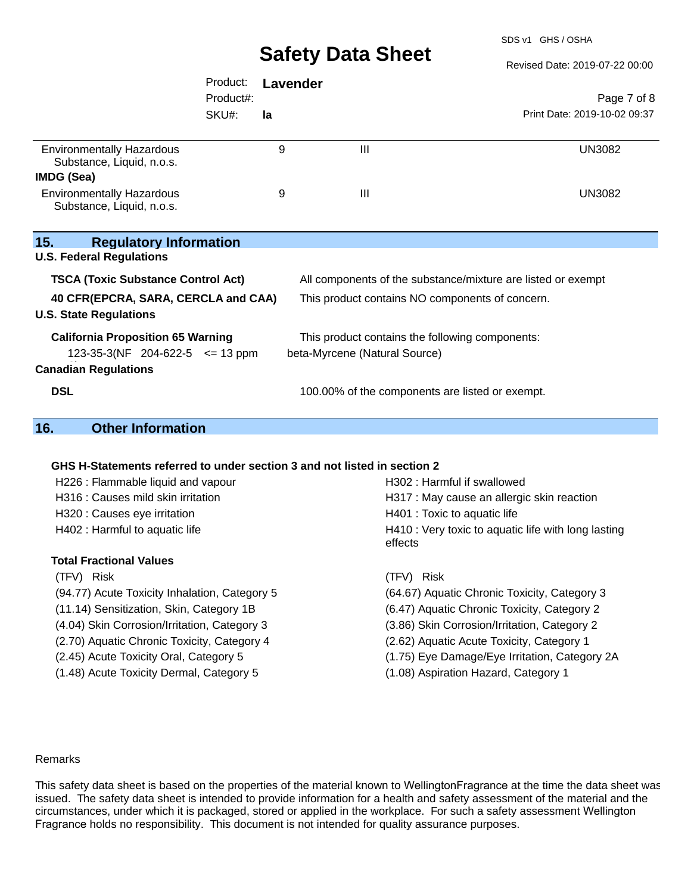SDS v1 GHS / OSHA

Revised Date: 2019-07-22 00:00

|                                                                                                                      | Product:  | <b>Lavender</b> |                                                 |                                                              |
|----------------------------------------------------------------------------------------------------------------------|-----------|-----------------|-------------------------------------------------|--------------------------------------------------------------|
|                                                                                                                      | Product#: |                 |                                                 | Page 7 of 8                                                  |
|                                                                                                                      | SKU#:     | la              |                                                 | Print Date: 2019-10-02 09:37                                 |
| <b>Environmentally Hazardous</b><br>Substance, Liquid, n.o.s.                                                        |           | 9               | III                                             | <b>UN3082</b>                                                |
| IMDG (Sea)                                                                                                           |           |                 |                                                 |                                                              |
| <b>Environmentally Hazardous</b><br>Substance, Liquid, n.o.s.                                                        |           | 9               | III                                             | <b>UN3082</b>                                                |
| 15.<br><b>Regulatory Information</b><br><b>U.S. Federal Regulations</b><br><b>TSCA (Toxic Substance Control Act)</b> |           |                 |                                                 | All components of the substance/mixture are listed or exempt |
|                                                                                                                      |           |                 |                                                 |                                                              |
| 40 CFR(EPCRA, SARA, CERCLA and CAA)<br><b>U.S. State Regulations</b>                                                 |           |                 |                                                 | This product contains NO components of concern.              |
| <b>California Proposition 65 Warning</b>                                                                             |           |                 | This product contains the following components: |                                                              |
| 123-35-3(NF 204-622-5 $\le$ 13 ppm                                                                                   |           |                 | beta-Myrcene (Natural Source)                   |                                                              |
| <b>Canadian Regulations</b>                                                                                          |           |                 |                                                 |                                                              |
| <b>DSL</b>                                                                                                           |           |                 | 100.00% of the components are listed or exempt. |                                                              |
| 16.<br><b>Other Information</b>                                                                                      |           |                 |                                                 |                                                              |
|                                                                                                                      |           |                 |                                                 |                                                              |

#### **GHS H-Statements referred to under section 3 and not listed in section 2**

| H226 : Flammable liquid and vapour            | H302 : Harmful if swallowed                                    |  |  |  |
|-----------------------------------------------|----------------------------------------------------------------|--|--|--|
| H316 : Causes mild skin irritation            | H317 : May cause an allergic skin reaction                     |  |  |  |
| H320 : Causes eye irritation                  | H401 : Toxic to aquatic life                                   |  |  |  |
| H402 : Harmful to aquatic life                | H410 : Very toxic to aquatic life with long lasting<br>effects |  |  |  |
| Total Fractional Values                       |                                                                |  |  |  |
| (TFV) Risk                                    | Risk<br>(TFV).                                                 |  |  |  |
| (94.77) Acute Toxicity Inhalation, Category 5 | (64.67) Aquatic Chronic Toxicity, Category 3                   |  |  |  |
| (11.14) Sensitization, Skin, Category 1B      | (6.47) Aquatic Chronic Toxicity, Category 2                    |  |  |  |
| (4.04) Skin Corrosion/Irritation, Category 3  | (3.86) Skin Corrosion/Irritation, Category 2                   |  |  |  |
| (2.70) Aquatic Chronic Toxicity, Category 4   | (2.62) Aquatic Acute Toxicity, Category 1                      |  |  |  |
| (2.45) Acute Toxicity Oral, Category 5        | (1.75) Eye Damage/Eye Irritation, Category 2A                  |  |  |  |
| (1.48) Acute Toxicity Dermal, Category 5      | (1.08) Aspiration Hazard, Category 1                           |  |  |  |
|                                               |                                                                |  |  |  |

#### Remarks

This safety data sheet is based on the properties of the material known to WellingtonFragrance at the time the data sheet was issued. The safety data sheet is intended to provide information for a health and safety assessment of the material and the circumstances, under which it is packaged, stored or applied in the workplace. For such a safety assessment Wellington Fragrance holds no responsibility. This document is not intended for quality assurance purposes.